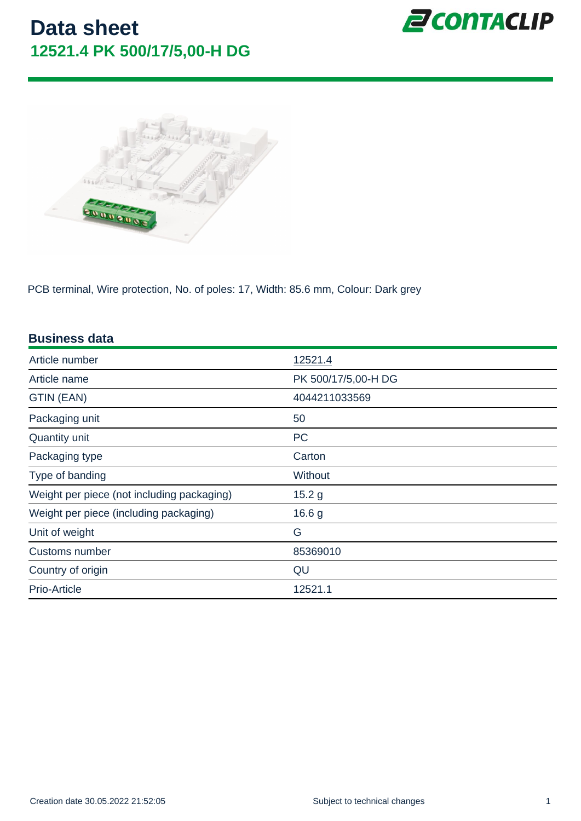PCB terminal, Wire protection, No. of poles: 17, Width: 85.6 mm, Colour: Dark grey

| <b>Business data</b>                       |                     |
|--------------------------------------------|---------------------|
| Article number                             | 12521.4             |
| Article name                               | PK 500/17/5,00-H DG |
| GTIN (EAN)                                 | 4044211033569       |
| Packaging unit                             | 50                  |
| Quantity unit                              | <b>PC</b>           |
| Packaging type                             | Carton              |
| Type of banding                            | Without             |
| Weight per piece (not including packaging) | 15.2 <sub>g</sub>   |
| Weight per piece (including packaging)     | 16.6 g              |
| Unit of weight                             | G                   |
| Customs number                             | 85369010            |
| Country of origin                          | QU                  |
| Prio-Article                               | 12521.1             |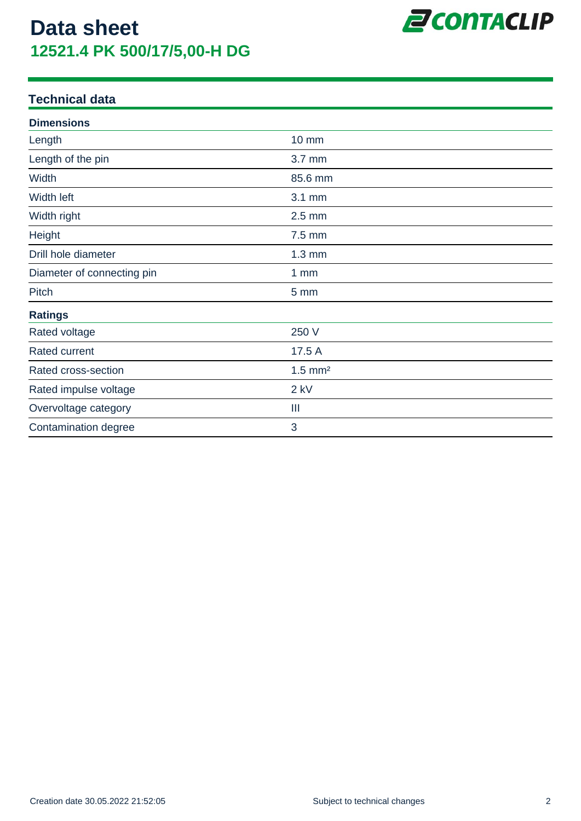

#### **Technical data**

| <b>Dimensions</b>          |                       |  |
|----------------------------|-----------------------|--|
| Length                     | <b>10 mm</b>          |  |
| Length of the pin          | 3.7 mm                |  |
| Width                      | 85.6 mm               |  |
| Width left                 | 3.1 mm                |  |
| Width right                | $2.5$ mm              |  |
| Height                     | $7.5$ mm              |  |
| Drill hole diameter        | $1.3 \text{ mm}$      |  |
| Diameter of connecting pin | 1 <sub>mm</sub>       |  |
| Pitch                      | 5 mm                  |  |
| <b>Ratings</b>             |                       |  |
| Rated voltage              | 250 V                 |  |
| <b>Rated current</b>       | 17.5 A                |  |
| Rated cross-section        | $1.5$ mm <sup>2</sup> |  |
| Rated impulse voltage      | $2$ kV                |  |
| Overvoltage category       | Ш                     |  |
| Contamination degree       | 3                     |  |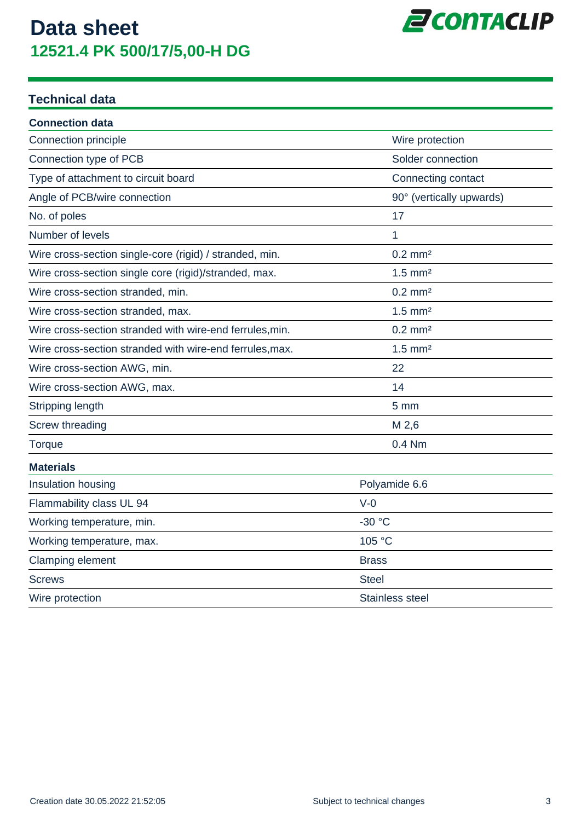

#### **Technical data**

| <b>Connection data</b>                                   |                          |
|----------------------------------------------------------|--------------------------|
| Connection principle                                     | Wire protection          |
| Connection type of PCB                                   | Solder connection        |
| Type of attachment to circuit board                      | Connecting contact       |
| Angle of PCB/wire connection                             | 90° (vertically upwards) |
| No. of poles                                             | 17                       |
| Number of levels                                         | 1                        |
| Wire cross-section single-core (rigid) / stranded, min.  | $0.2$ mm <sup>2</sup>    |
| Wire cross-section single core (rigid)/stranded, max.    | $1.5$ mm <sup>2</sup>    |
| Wire cross-section stranded, min.                        | $0.2$ mm <sup>2</sup>    |
| Wire cross-section stranded, max.                        | $1.5$ mm <sup>2</sup>    |
| Wire cross-section stranded with wire-end ferrules, min. | $0.2$ mm <sup>2</sup>    |
| Wire cross-section stranded with wire-end ferrules, max. | $1.5$ mm <sup>2</sup>    |
| Wire cross-section AWG, min.                             | 22                       |
| Wire cross-section AWG, max.                             | 14                       |
| Stripping length                                         | 5 <sub>mm</sub>          |
| Screw threading                                          | M 2,6                    |
| Torque                                                   | 0.4 Nm                   |
| <b>Materials</b>                                         |                          |
| Insulation housing                                       | Polyamide 6.6            |
| Flammability class UL 94                                 | $V-0$                    |
| Working temperature, min.                                | -30 °C                   |
| Working temperature, max.                                | 105 °C                   |
| Clamping element                                         | <b>Brass</b>             |
| <b>Screws</b>                                            | <b>Steel</b>             |
| Wire protection                                          | Stainless steel          |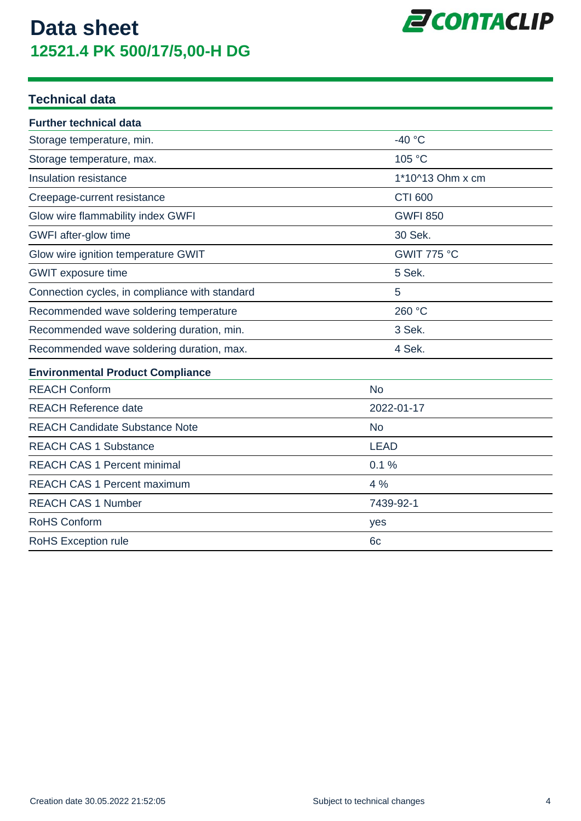

#### **Technical data**

| <b>Further technical data</b>                  |                    |
|------------------------------------------------|--------------------|
| Storage temperature, min.                      | $-40 °C$           |
| Storage temperature, max.                      | 105 °C             |
| Insulation resistance                          | 1*10^13 Ohm x cm   |
| Creepage-current resistance                    | <b>CTI 600</b>     |
| Glow wire flammability index GWFI              | <b>GWFI 850</b>    |
| GWFI after-glow time                           | 30 Sek.            |
| Glow wire ignition temperature GWIT            | <b>GWIT 775 °C</b> |
| <b>GWIT</b> exposure time                      | 5 Sek.             |
| Connection cycles, in compliance with standard | 5                  |
| Recommended wave soldering temperature         | 260 °C             |
| Recommended wave soldering duration, min.      | 3 Sek.             |
| Recommended wave soldering duration, max.      | 4 Sek.             |
| <b>Environmental Product Compliance</b>        |                    |
| <b>REACH Conform</b>                           | <b>No</b>          |
| <b>REACH Reference date</b>                    | 2022-01-17         |
| <b>REACH Candidate Substance Note</b>          | <b>No</b>          |
| <b>REACH CAS 1 Substance</b>                   | <b>LEAD</b>        |
| <b>REACH CAS 1 Percent minimal</b>             | 0.1%               |
| <b>REACH CAS 1 Percent maximum</b>             | 4 %                |
| <b>REACH CAS 1 Number</b>                      | 7439-92-1          |
| RoHS Conform                                   | yes                |
| RoHS Exception rule                            | 6 <sub>c</sub>     |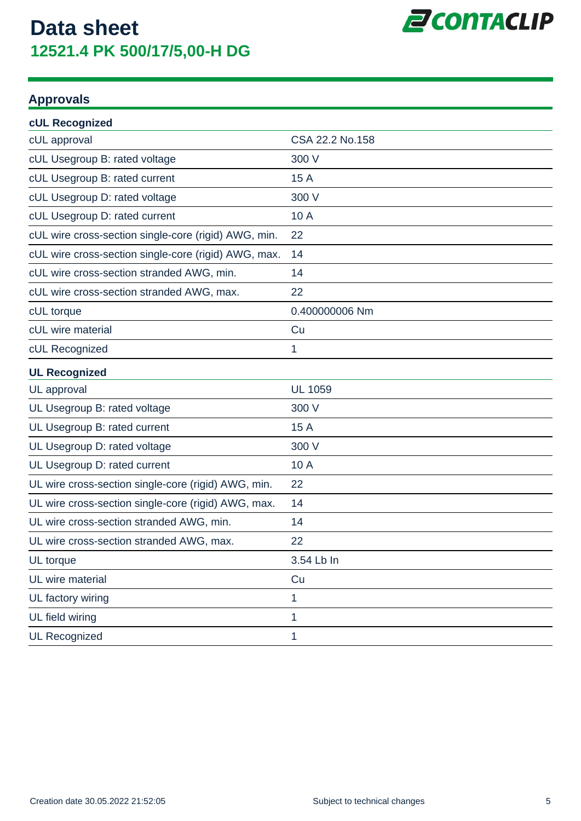

#### **Approvals**

| <b>cUL Recognized</b>                                |                 |
|------------------------------------------------------|-----------------|
| cUL approval                                         | CSA 22.2 No.158 |
| cUL Usegroup B: rated voltage                        | 300 V           |
| cUL Usegroup B: rated current                        | 15 A            |
| cUL Usegroup D: rated voltage                        | 300 V           |
| cUL Usegroup D: rated current                        | 10 A            |
| cUL wire cross-section single-core (rigid) AWG, min. | 22              |
| cUL wire cross-section single-core (rigid) AWG, max. | 14              |
| cUL wire cross-section stranded AWG, min.            | 14              |
| cUL wire cross-section stranded AWG, max.            | 22              |
| cUL torque                                           | 0.400000006 Nm  |
| cUL wire material                                    | Cu              |
| cUL Recognized                                       | 1               |
| <b>UL Recognized</b>                                 |                 |
| UL approval                                          | <b>UL 1059</b>  |
| UL Usegroup B: rated voltage                         | 300 V           |
| UL Usegroup B: rated current                         | 15 A            |
| UL Usegroup D: rated voltage                         | 300 V           |
| UL Usegroup D: rated current                         | 10 A            |
| UL wire cross-section single-core (rigid) AWG, min.  | 22              |
| UL wire cross-section single-core (rigid) AWG, max.  | 14              |
| UL wire cross-section stranded AWG, min.             | 14              |
| UL wire cross-section stranded AWG, max.             | 22              |
| UL torque                                            | 3.54 Lb In      |
| UL wire material                                     | Cu              |
| UL factory wiring                                    | 1               |
| UL field wiring                                      | 1               |
| <b>UL Recognized</b>                                 | 1               |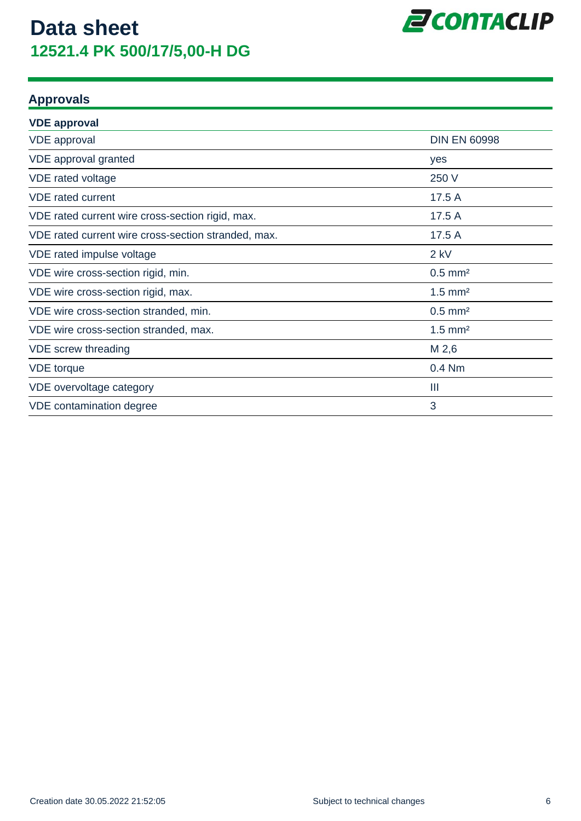

#### **Approvals**

| <b>VDE approval</b>                                 |                       |
|-----------------------------------------------------|-----------------------|
| <b>VDE</b> approval                                 | <b>DIN EN 60998</b>   |
| VDE approval granted                                | yes                   |
| VDE rated voltage                                   | 250 V                 |
| <b>VDE</b> rated current                            | 17.5 A                |
| VDE rated current wire cross-section rigid, max.    | 17.5 A                |
| VDE rated current wire cross-section stranded, max. | 17.5 A                |
| VDE rated impulse voltage                           | $2$ kV                |
| VDE wire cross-section rigid, min.                  | $0.5$ mm <sup>2</sup> |
| VDE wire cross-section rigid, max.                  | $1.5$ mm <sup>2</sup> |
| VDE wire cross-section stranded, min.               | $0.5$ mm <sup>2</sup> |
| VDE wire cross-section stranded, max.               | $1.5$ mm <sup>2</sup> |
| VDE screw threading                                 | M 2,6                 |
| <b>VDE</b> torque                                   | 0.4 Nm                |
| VDE overvoltage category                            | Ш                     |
| VDE contamination degree                            | 3                     |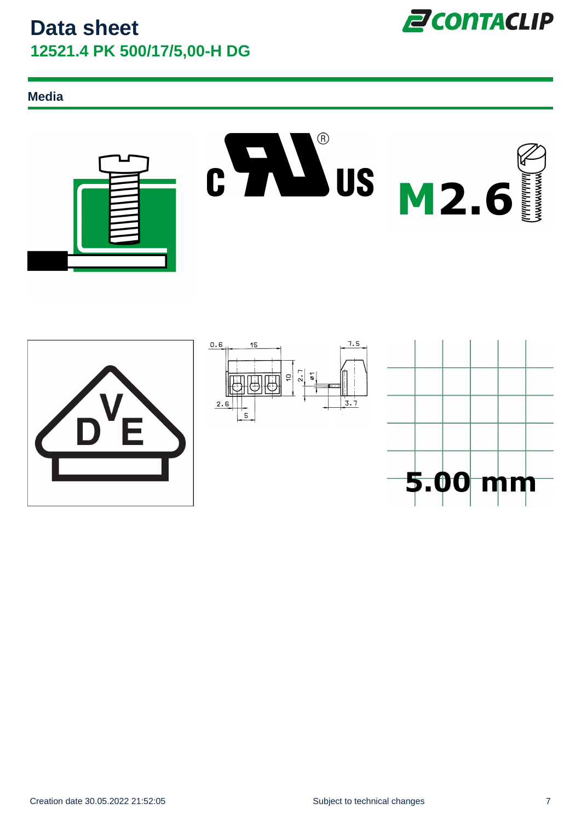**Media**